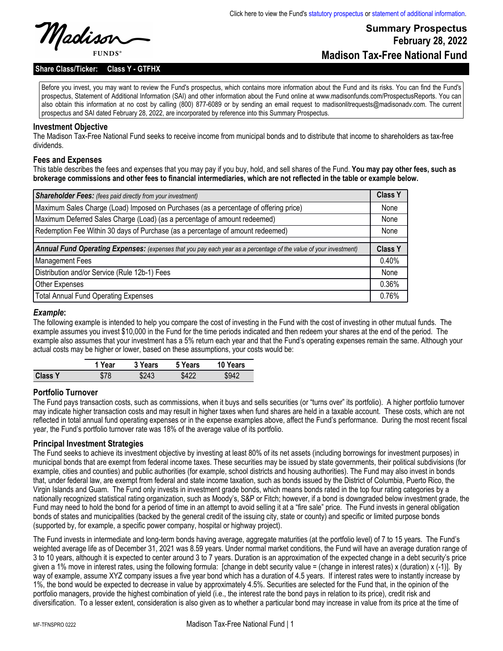# **Summary Prospectus February 28, 2022 Madison Tax-Free National Fund**

**Share Class/Ticker: Class Y - GTFHX**

Before you invest, you may want to review the Fund's prospectus, which contains more information about the Fund and its risks. You can find the Fund's prospectus, Statement of Additional Information (SAI) and other information about the Fund online at www.madisonfunds.com/ProspectusReports. You can also obtain this information at no cost by calling (800) 877-6089 or by sending an email request to madisonlitrequests@madisonadv.com. The current prospectus and SAI dated February 28, 2022, are incorporated by reference into this Summary Prospectus.

#### **Investment Objective**

The Madison Tax-Free National Fund seeks to receive income from municipal bonds and to distribute that income to shareholders as tax-free dividends.

#### **Fees and Expenses**

This table describes the fees and expenses that you may pay if you buy, hold, and sell shares of the Fund. **You may pay other fees, such as brokerage commissions and other fees to financial intermediaries, which are not reflected in the table or example below.**

| <b>Shareholder Fees:</b> (fees paid directly from your investment)                                                | <b>Class Y</b> |
|-------------------------------------------------------------------------------------------------------------------|----------------|
| Maximum Sales Charge (Load) Imposed on Purchases (as a percentage of offering price)                              | None           |
| Maximum Deferred Sales Charge (Load) (as a percentage of amount redeemed)                                         | None           |
| Redemption Fee Within 30 days of Purchase (as a percentage of amount redeemed)                                    | None           |
|                                                                                                                   |                |
| Annual Fund Operating Expenses: (expenses that you pay each year as a percentage of the value of your investment) | <b>Class Y</b> |
| <b>Management Fees</b>                                                                                            | 0.40%          |
| Distribution and/or Service (Rule 12b-1) Fees                                                                     | None           |
| Other Expenses                                                                                                    | 0.36%          |
| <b>Total Annual Fund Operating Expenses</b>                                                                       | 0.76%          |

#### *Example***:**

The following example is intended to help you compare the cost of investing in the Fund with the cost of investing in other mutual funds. The example assumes you invest \$10,000 in the Fund for the time periods indicated and then redeem your shares at the end of the period. The example also assumes that your investment has a 5% return each year and that the Fund's operating expenses remain the same. Although your actual costs may be higher or lower, based on these assumptions, your costs would be:

|                | 1 Year | 3 Years | 5 Years | 10 Years |
|----------------|--------|---------|---------|----------|
| <b>Class Y</b> | \$78   | \$243   | \$422   | \$942    |

#### **Portfolio Turnover**

The Fund pays transaction costs, such as commissions, when it buys and sells securities (or "turns over" its portfolio). A higher portfolio turnover may indicate higher transaction costs and may result in higher taxes when fund shares are held in a taxable account. These costs, which are not reflected in total annual fund operating expenses or in the expense examples above, affect the Fund's performance. During the most recent fiscal year, the Fund's portfolio turnover rate was 18% of the average value of its portfolio.

#### **Principal Investment Strategies**

The Fund seeks to achieve its investment objective by investing at least 80% of its net assets (including borrowings for investment purposes) in municipal bonds that are exempt from federal income taxes. These securities may be issued by state governments, their political subdivisions (for example, cities and counties) and public authorities (for example, school districts and housing authorities). The Fund may also invest in bonds that, under federal law, are exempt from federal and state income taxation, such as bonds issued by the District of Columbia, Puerto Rico, the Virgin Islands and Guam. The Fund only invests in investment grade bonds, which means bonds rated in the top four rating categories by a nationally recognized statistical rating organization, such as Moody's, S&P or Fitch; however, if a bond is downgraded below investment grade, the Fund may need to hold the bond for a period of time in an attempt to avoid selling it at a "fire sale" price. The Fund invests in general obligation bonds of states and municipalities (backed by the general credit of the issuing city, state or county) and specific or limited purpose bonds (supported by, for example, a specific power company, hospital or highway project).

The Fund invests in intermediate and long-term bonds having average, aggregate maturities (at the portfolio level) of 7 to 15 years. The Fund's weighted average life as of December 31, 2021 was 8.59 years. Under normal market conditions, the Fund will have an average duration range of 3 to 10 years, although it is expected to center around 3 to 7 years. Duration is an approximation of the expected change in a debt security's price given a 1% move in interest rates, using the following formula: [change in debt security value = (change in interest rates) x (duration) x (-1)]. By way of example, assume XYZ company issues a five year bond which has a duration of 4.5 years. If interest rates were to instantly increase by 1%, the bond would be expected to decrease in value by approximately 4.5%. Securities are selected for the Fund that, in the opinion of the portfolio managers, provide the highest combination of yield (i.e., the interest rate the bond pays in relation to its price), credit risk and diversification. To a lesser extent, consideration is also given as to whether a particular bond may increase in value from its price at the time of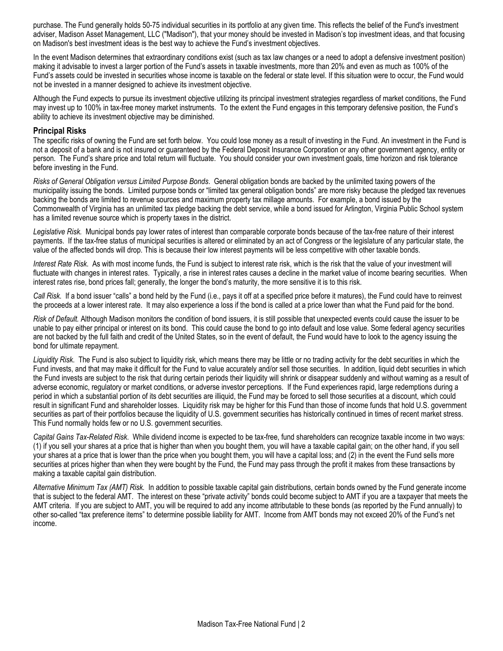purchase. The Fund generally holds 50-75 individual securities in its portfolio at any given time. This reflects the belief of the Fund's investment adviser, Madison Asset Management, LLC ("Madison"), that your money should be invested in Madison's top investment ideas, and that focusing on Madison's best investment ideas is the best way to achieve the Fund's investment objectives.

In the event Madison determines that extraordinary conditions exist (such as tax law changes or a need to adopt a defensive investment position) making it advisable to invest a larger portion of the Fund's assets in taxable investments, more than 20% and even as much as 100% of the Fund's assets could be invested in securities whose income is taxable on the federal or state level. If this situation were to occur, the Fund would not be invested in a manner designed to achieve its investment objective.

Although the Fund expects to pursue its investment objective utilizing its principal investment strategies regardless of market conditions, the Fund may invest up to 100% in tax-free money market instruments. To the extent the Fund engages in this temporary defensive position, the Fund's ability to achieve its investment objective may be diminished.

#### **Principal Risks**

The specific risks of owning the Fund are set forth below. You could lose money as a result of investing in the Fund. An investment in the Fund is not a deposit of a bank and is not insured or guaranteed by the Federal Deposit Insurance Corporation or any other government agency, entity or person. The Fund's share price and total return will fluctuate. You should consider your own investment goals, time horizon and risk tolerance before investing in the Fund.

*Risks of General Obligation versus Limited Purpose Bonds*. General obligation bonds are backed by the unlimited taxing powers of the municipality issuing the bonds. Limited purpose bonds or "limited tax general obligation bonds" are more risky because the pledged tax revenues backing the bonds are limited to revenue sources and maximum property tax millage amounts. For example, a bond issued by the Commonwealth of Virginia has an unlimited tax pledge backing the debt service, while a bond issued for Arlington, Virginia Public School system has a limited revenue source which is property taxes in the district.

*Legislative Risk.* Municipal bonds pay lower rates of interest than comparable corporate bonds because of the tax-free nature of their interest payments. If the tax-free status of municipal securities is altered or eliminated by an act of Congress or the legislature of any particular state, the value of the affected bonds will drop. This is because their low interest payments will be less competitive with other taxable bonds.

*Interest Rate Risk*. As with most income funds, the Fund is subject to interest rate risk, which is the risk that the value of your investment will fluctuate with changes in interest rates. Typically, a rise in interest rates causes a decline in the market value of income bearing securities. When interest rates rise, bond prices fall; generally, the longer the bond's maturity, the more sensitive it is to this risk.

*Call Risk.* If a bond issuer "calls" a bond held by the Fund (i.e., pays it off at a specified price before it matures), the Fund could have to reinvest the proceeds at a lower interest rate. It may also experience a loss if the bond is called at a price lower than what the Fund paid for the bond.

*Risk of Default.* Although Madison monitors the condition of bond issuers, it is still possible that unexpected events could cause the issuer to be unable to pay either principal or interest on its bond. This could cause the bond to go into default and lose value. Some federal agency securities are not backed by the full faith and credit of the United States, so in the event of default, the Fund would have to look to the agency issuing the bond for ultimate repayment.

*Liquidity Risk*. The Fund is also subject to liquidity risk, which means there may be little or no trading activity for the debt securities in which the Fund invests, and that may make it difficult for the Fund to value accurately and/or sell those securities. In addition, liquid debt securities in which the Fund invests are subject to the risk that during certain periods their liquidity will shrink or disappear suddenly and without warning as a result of adverse economic, regulatory or market conditions, or adverse investor perceptions. If the Fund experiences rapid, large redemptions during a period in which a substantial portion of its debt securities are illiquid, the Fund may be forced to sell those securities at a discount, which could result in significant Fund and shareholder losses. Liquidity risk may be higher for this Fund than those of income funds that hold U.S. government securities as part of their portfolios because the liquidity of U.S. government securities has historically continued in times of recent market stress. This Fund normally holds few or no U.S. government securities.

*Capital Gains Tax-Related Risk*. While dividend income is expected to be tax-free, fund shareholders can recognize taxable income in two ways: (1) if you sell your shares at a price that is higher than when you bought them, you will have a taxable capital gain; on the other hand, if you sell your shares at a price that is lower than the price when you bought them, you will have a capital loss; and (2) in the event the Fund sells more securities at prices higher than when they were bought by the Fund, the Fund may pass through the profit it makes from these transactions by making a taxable capital gain distribution.

*Alternative Minimum Tax (AMT) Risk.* In addition to possible taxable capital gain distributions, certain bonds owned by the Fund generate income that is subject to the federal AMT. The interest on these "private activity" bonds could become subject to AMT if you are a taxpayer that meets the AMT criteria. If you are subject to AMT, you will be required to add any income attributable to these bonds (as reported by the Fund annually) to other so-called "tax preference items" to determine possible liability for AMT. Income from AMT bonds may not exceed 20% of the Fund's net income.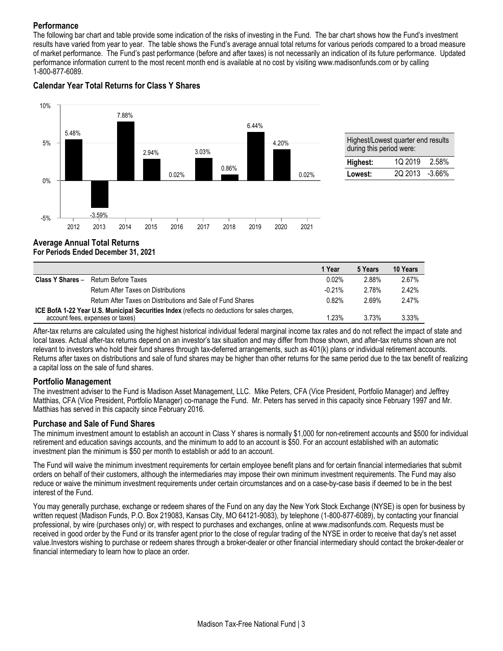### **Performance**

The following bar chart and table provide some indication of the risks of investing in the Fund. The bar chart shows how the Fund's investment results have varied from year to year. The table shows the Fund's average annual total returns for various periods compared to a broad measure of market performance. The Fund's past performance (before and after taxes) is not necessarily an indication of its future performance. Updated performance information current to the most recent month end is available at no cost by visiting www.madisonfunds.com or by calling 1-800-877-6089.



### **Calendar Year Total Returns for Class Y Shares**

## **Average Annual Total Returns For Periods Ended December 31, 2021**

|                                                                                               |                                                             | 1 Year   | 5 Years | 10 Years |
|-----------------------------------------------------------------------------------------------|-------------------------------------------------------------|----------|---------|----------|
| Class Y Shares -                                                                              | Return Before Taxes                                         | 0.02%    | 2.88%   | 2.67%    |
|                                                                                               | Return After Taxes on Distributions                         | $-0.21%$ | 2.78%   | 2.42%    |
|                                                                                               | Return After Taxes on Distributions and Sale of Fund Shares | 0.82%    | 2.69%   | 2.47%    |
| ICE BofA 1-22 Year U.S. Municipal Securities Index (reflects no deductions for sales charges, |                                                             |          |         |          |
| account fees, expenses or taxes)                                                              |                                                             | 1.23%    | 3.73%   | 3.33%    |

After-tax returns are calculated using the highest historical individual federal marginal income tax rates and do not reflect the impact of state and local taxes. Actual after-tax returns depend on an investor's tax situation and may differ from those shown, and after-tax returns shown are not relevant to investors who hold their fund shares through tax-deferred arrangements, such as 401(k) plans or individual retirement accounts. Returns after taxes on distributions and sale of fund shares may be higher than other returns for the same period due to the tax benefit of realizing a capital loss on the sale of fund shares.

### **Portfolio Management**

The investment adviser to the Fund is Madison Asset Management, LLC. Mike Peters, CFA (Vice President, Portfolio Manager) and Jeffrey Matthias, CFA (Vice President, Portfolio Manager) co-manage the Fund. Mr. Peters has served in this capacity since February 1997 and Mr. Matthias has served in this capacity since February 2016.

### **Purchase and Sale of Fund Shares**

The minimum investment amount to establish an account in Class Y shares is normally \$1,000 for non-retirement accounts and \$500 for individual retirement and education savings accounts, and the minimum to add to an account is \$50. For an account established with an automatic investment plan the minimum is \$50 per month to establish or add to an account.

The Fund will waive the minimum investment requirements for certain employee benefit plans and for certain financial intermediaries that submit orders on behalf of their customers, although the intermediaries may impose their own minimum investment requirements. The Fund may also reduce or waive the minimum investment requirements under certain circumstances and on a case-by-case basis if deemed to be in the best interest of the Fund.

You may generally purchase, exchange or redeem shares of the Fund on any day the New York Stock Exchange (NYSE) is open for business by written request (Madison Funds, P.O. Box 219083, Kansas City, MO 64121-9083), by telephone (1-800-877-6089), by contacting your financial professional, by wire (purchases only) or, with respect to purchases and exchanges, online at www.madisonfunds.com. Requests must be received in good order by the Fund or its transfer agent prior to the close of regular trading of the NYSE in order to receive that day's net asset value.Investors wishing to purchase or redeem shares through a broker-dealer or other financial intermediary should contact the broker-dealer or financial intermediary to learn how to place an order.